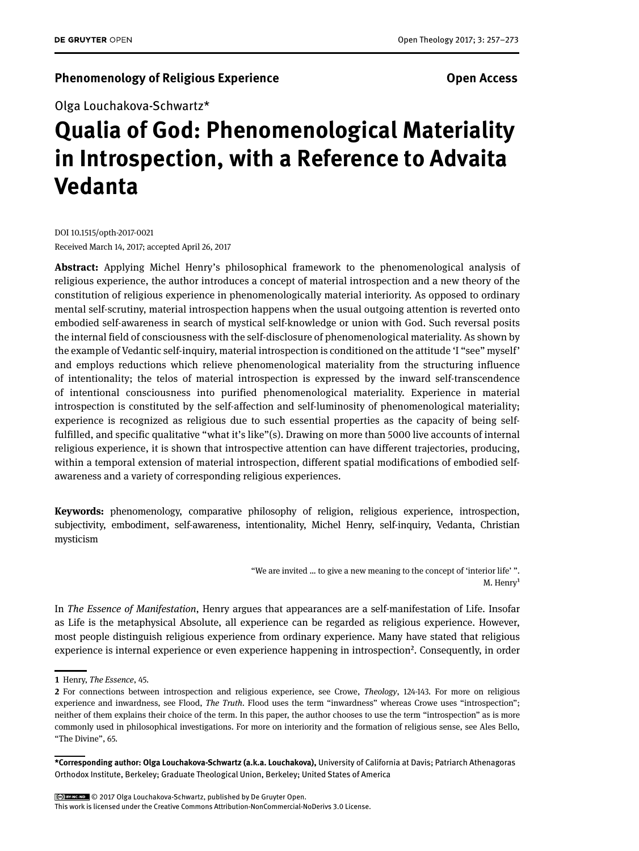## **Phenomenology of Religious Experience Community Community Community Community Community Community Community Community Community Community Community Community Community Community Community Community Community Community Com**

Olga Louchakova-Schwartz\*

# **Qualia of God: Phenomenological Materiality in Introspection, with a Reference to Advaita Vedanta**

DOI 10.1515/opth-2017-0021 Received March 14, 2017; accepted April 26, 2017

**Abstract:** Applying Michel Henry's philosophical framework to the phenomenological analysis of religious experience, the author introduces a concept of material introspection and a new theory of the constitution of religious experience in phenomenologically material interiority. As opposed to ordinary mental self-scrutiny, material introspection happens when the usual outgoing attention is reverted onto embodied self-awareness in search of mystical self-knowledge or union with God. Such reversal posits the internal field of consciousness with the self-disclosure of phenomenological materiality. As shown by the example of Vedantic self-inquiry, material introspection is conditioned on the attitude 'I "see" myself' and employs reductions which relieve phenomenological materiality from the structuring influence of intentionality; the telos of material introspection is expressed by the inward self-transcendence of intentional consciousness into purified phenomenological materiality. Experience in material introspection is constituted by the self-affection and self-luminosity of phenomenological materiality; experience is recognized as religious due to such essential properties as the capacity of being selffulfilled, and specific qualitative "what it's like"(s). Drawing on more than 5000 live accounts of internal religious experience, it is shown that introspective attention can have different trajectories, producing, within a temporal extension of material introspection, different spatial modifications of embodied selfawareness and a variety of corresponding religious experiences.

**Keywords:** phenomenology, comparative philosophy of religion, religious experience, introspection, subjectivity, embodiment, self-awareness, intentionality, Michel Henry, self-inquiry, Vedanta, Christian mysticism

> "We are invited … to give a new meaning to the concept of 'interior life' ". M. Henry<sup>1</sup>

In *The Essence of Manifestation*, Henry argues that appearances are a self-manifestation of Life. Insofar as Life is the metaphysical Absolute, all experience can be regarded as religious experience. However, most people distinguish religious experience from ordinary experience. Many have stated that religious experience is internal experience or even experience happening in introspection<sup>2</sup>. Consequently, in order

© 2017 Olga Louchakova-Schwartz, published by De Gruyter Open. This work is licensed under the Creative Commons Attribution-NonCommercial-NoDerivs 3.0 License.

**<sup>1</sup>** Henry, *The Essence*, 45.

**<sup>2</sup>** For connections between introspection and religious experience, see Crowe, *Theology*, 124-143. For more on religious experience and inwardness, see Flood, *The Truth*. Flood uses the term "inwardness" whereas Crowe uses "introspection"; neither of them explains their choice of the term. In this paper, the author chooses to use the term "introspection" as is more commonly used in philosophical investigations. For more on interiority and the formation of religious sense, see Ales Bello, "The Divine", 65.

**<sup>\*</sup>Corresponding author: Olga Louchakova-Schwartz (a.k.a. Louchakova),** University of California at Davis; Patriarch Athenagoras Orthodox Institute, Berkeley; Graduate Theological Union, Berkeley; United States of America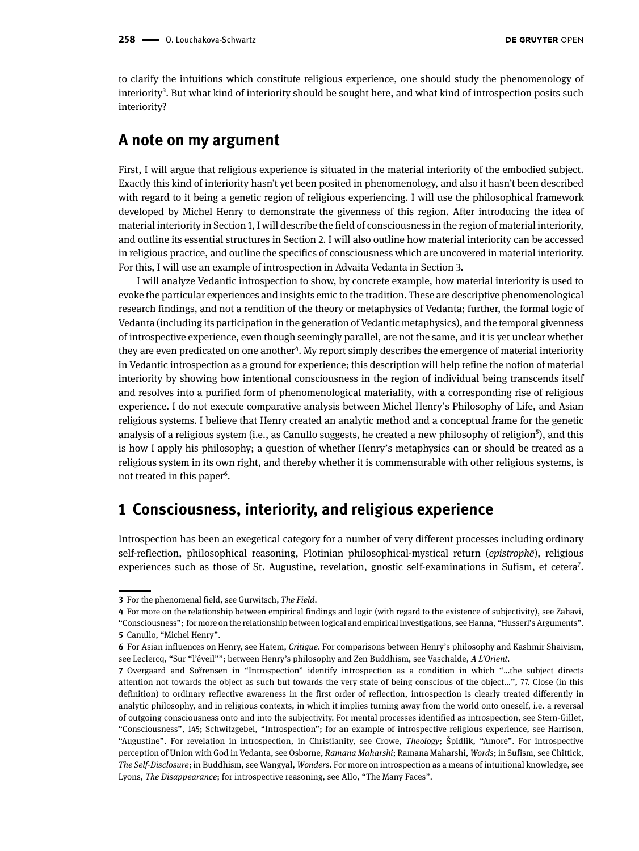to clarify the intuitions which constitute religious experience, one should study the phenomenology of interiority<sup>3</sup>. But what kind of interiority should be sought here, and what kind of introspection posits such interiority?

## **A note on my argument**

First, I will argue that religious experience is situated in the material interiority of the embodied subject. Exactly this kind of interiority hasn't yet been posited in phenomenology, and also it hasn't been described with regard to it being a genetic region of religious experiencing. I will use the philosophical framework developed by Michel Henry to demonstrate the givenness of this region. After introducing the idea of material interiority in Section 1, I will describe the field of consciousness in the region of material interiority, and outline its essential structures in Section 2. I will also outline how material interiority can be accessed in religious practice, and outline the specifics of consciousness which are uncovered in material interiority. For this, I will use an example of introspection in Advaita Vedanta in Section 3.

I will analyze Vedantic introspection to show, by concrete example, how material interiority is used to evoke the particular experiences and insights *emic* to the tradition. These are descriptive phenomenological research findings, and not a rendition of the theory or metaphysics of Vedanta; further, the formal logic of Vedanta (including its participation in the generation of Vedantic metaphysics), and the temporal givenness of introspective experience, even though seemingly parallel, are not the same, and it is yet unclear whether they are even predicated on one another<sup>4</sup>. My report simply describes the emergence of material interiority in Vedantic introspection as a ground for experience; this description will help refine the notion of material interiority by showing how intentional consciousness in the region of individual being transcends itself and resolves into a purified form of phenomenological materiality, with a corresponding rise of religious experience. I do not execute comparative analysis between Michel Henry's Philosophy of Life, and Asian religious systems. I believe that Henry created an analytic method and a conceptual frame for the genetic analysis of a religious system (i.e., as Canullo suggests, he created a new philosophy of religion<sup>5</sup>), and this is how I apply his philosophy; a question of whether Henry's metaphysics can or should be treated as a religious system in its own right, and thereby whether it is commensurable with other religious systems, is not treated in this paper<sup>6</sup>.

## **1 Consciousness, interiority, and religious experience**

Introspection has been an exegetical category for a number of very different processes including ordinary self-reflection, philosophical reasoning, Plotinian philosophical-mystical return (*epistrophē*), religious experiences such as those of St. Augustine, revelation, gnostic self-examinations in Sufism, et cetera<sup>7</sup>.

**<sup>3</sup>** For the phenomenal field, see Gurwitsch, *The Field*.

**<sup>4</sup>** For more on the relationship between empirical findings and logic (with regard to the existence of subjectivity), see Zahavi, "Consciousness"; for more on the relationship between logical and empirical investigations, see Hanna, "Husserl's Arguments". **5** Canullo, "Michel Henry".

**<sup>6</sup>** For Asian influences on Henry, see Hatem, *Critique*. For comparisons between Henry's philosophy and Kashmir Shaivism, see Leclercq, "Sur "l'éveil""; between Henry's philosophy and Zen Buddhism, see Vaschalde, *A L'Orient.*

**<sup>7</sup>** Overgaard and Sořrensen in "Introspection" identify introspection as a condition in which "…the subject directs attention not towards the object as such but towards the very state of being conscious of the object…", 77. Close (in this definition) to ordinary reflective awareness in the first order of reflection, introspection is clearly treated differently in analytic philosophy, and in religious contexts, in which it implies turning away from the world onto oneself, i.e. a reversal of outgoing consciousness onto and into the subjectivity. For mental processes identified as introspection, see Stern-Gillet, "Consciousness", 145; Schwitzgebel, "Introspection"; for an example of introspective religious experience, see Harrison, "Augustine". For revelation in introspection, in Christianity, see Crowe, *Theology*; Špidlík, "Amore". For introspective perception of Union with God in Vedanta, see Osborne, *Ramana Maharshi*; Ramana Maharshi, *Words*; in Sufism, see Chittick, *The Self-Disclosure*; in Buddhism, see Wangyal, *Wonders*. For more on introspection as a means of intuitional knowledge, see Lyons, *The Disappearance*; for introspective reasoning, see Allo, "The Many Faces".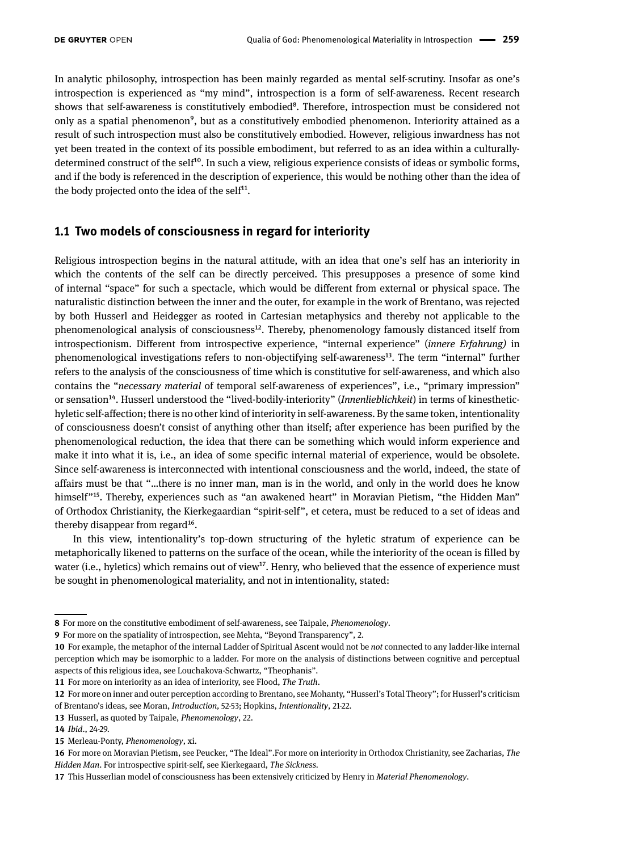In analytic philosophy, introspection has been mainly regarded as mental self-scrutiny. Insofar as one's introspection is experienced as "my mind", introspection is a form of self-awareness. Recent research shows that self-awareness is constitutively embodied<sup>8</sup>. Therefore, introspection must be considered not only as a spatial phenomenon<sup>9</sup>, but as a constitutively embodied phenomenon. Interiority attained as a result of such introspection must also be constitutively embodied. However, religious inwardness has not yet been treated in the context of its possible embodiment, but referred to as an idea within a culturallydetermined construct of the self<sup>10</sup>. In such a view, religious experience consists of ideas or symbolic forms, and if the body is referenced in the description of experience, this would be nothing other than the idea of the body projected onto the idea of the self $11$ .

#### **1.1 Two models of consciousness in regard for interiority**

Religious introspection begins in the natural attitude, with an idea that one's self has an interiority in which the contents of the self can be directly perceived. This presupposes a presence of some kind of internal "space" for such a spectacle, which would be different from external or physical space. The naturalistic distinction between the inner and the outer, for example in the work of Brentano, was rejected by both Husserl and Heidegger as rooted in Cartesian metaphysics and thereby not applicable to the phenomenological analysis of consciousness<sup>12</sup>. Thereby, phenomenology famously distanced itself from introspectionism. Different from introspective experience, "internal experience" (*innere Erfahrung)* in phenomenological investigations refers to non-objectifying self-awareness<sup>13</sup>. The term "internal" further refers to the analysis of the consciousness of time which is constitutive for self-awareness, and which also contains the "*necessary material* of temporal self-awareness of experiences", i.e., "primary impression" or sensation14. Husserl understood the "lived-bodily-interiority" (*Innenlieblichkeit*) in terms of kinesthetichyletic self-affection; there is no other kind of interiority in self-awareness. By the same token, intentionality of consciousness doesn't consist of anything other than itself; after experience has been purified by the phenomenological reduction, the idea that there can be something which would inform experience and make it into what it is, i.e., an idea of some specific internal material of experience, would be obsolete. Since self-awareness is interconnected with intentional consciousness and the world, indeed, the state of affairs must be that "…there is no inner man, man is in the world, and only in the world does he know himself"<sup>15</sup>. Thereby, experiences such as "an awakened heart" in Moravian Pietism, "the Hidden Man" of Orthodox Christianity, the Kierkegaardian "spirit-self", et cetera, must be reduced to a set of ideas and thereby disappear from regard<sup>16</sup>.

In this view, intentionality's top-down structuring of the hyletic stratum of experience can be metaphorically likened to patterns on the surface of the ocean, while the interiority of the ocean is filled by water (i.e., hyletics) which remains out of view<sup>17</sup>. Henry, who believed that the essence of experience must be sought in phenomenological materiality, and not in intentionality, stated:

**11** For more on interiority as an idea of interiority, see Flood, *The Truth*.

**<sup>8</sup>** For more on the constitutive embodiment of self-awareness, see Taipale, *Phenomenology*.

**<sup>9</sup>** For more on the spatiality of introspection, see Mehta, "Beyond Transparency", 2.

**<sup>10</sup>** For example, the metaphor of the internal Ladder of Spiritual Ascent would not be *not* connected to any ladder-like internal perception which may be isomorphic to a ladder. For more on the analysis of distinctions between cognitive and perceptual aspects of this religious idea, see Louchakova-Schwartz, "Theophanis".

**<sup>12</sup>** For more on inner and outer perception according to Brentano, see Mohanty, "Husserl's Total Theory"; for Husserl's criticism of Brentano's ideas, see Moran, *Introduction,* 52-53; Hopkins, *Intentionality*, 21-22.

**<sup>13</sup>** Husserl, as quoted by Taipale, *Phenomenology*, 22.

**<sup>14</sup>** *Ibid*., 24-29.

**<sup>15</sup>** Merleau-Ponty, *Phenomenology*, xi.

**<sup>16</sup>** For more on Moravian Pietism, see Peucker, "The Ideal".For more on interiority in Orthodox Christianity, see Zacharias, *The Hidden Man*. For introspective spirit-self, see Kierkegaard, *The Sickness.*

**<sup>17</sup>** This Husserlian model of consciousness has been extensively criticized by Henry in *Material Phenomenology*.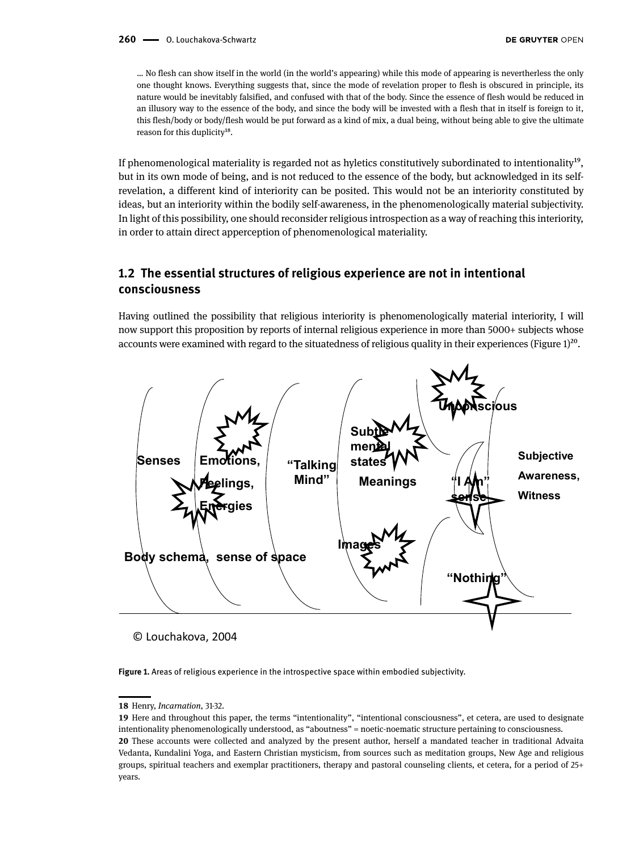… No flesh can show itself in the world (in the world's appearing) while this mode of appearing is nevertherless the only one thought knows. Everything suggests that, since the mode of revelation proper to flesh is obscured in principle, its nature would be inevitably falsified, and confused with that of the body. Since the essence of flesh would be reduced in an illusory way to the essence of the body, and since the body will be invested with a flesh that in itself is foreign to it, this flesh/body or body/flesh would be put forward as a kind of mix, a dual being, without being able to give the ultimate reason for this duplicity<sup>18</sup>.

If phenomenological materiality is regarded not as hyletics constitutively subordinated to intentionality<sup>19</sup>, but in its own mode of being, and is not reduced to the essence of the body, but acknowledged in its selfrevelation, a different kind of interiority can be posited. This would not be an interiority constituted by ideas, but an interiority within the bodily self-awareness, in the phenomenologically material subjectivity. In light of this possibility, one should reconsider religious introspection as a way of reaching this interiority, in order to attain direct apperception of phenomenological materiality.

## **1.2 The essential structures of religious experience are not in intentional consciousness**

Having outlined the possibility that religious interiority is phenomenologically material interiority, I will now support this proposition by reports of internal religious experience in more than 5000+ subjects whose accounts were examined with regard to the situatedness of religious quality in their experiences (Figure  $1$ )<sup>20</sup>.



© Louchakova, 2004

**Figure 1.** Areas of religious experience in the introspective space within embodied subjectivity.

**<sup>18</sup>** Henry, *Incarnation*, 31-32.

**<sup>19</sup>** Here and throughout this paper, the terms "intentionality", "intentional consciousness", et cetera, are used to designate intentionality phenomenologically understood, as "aboutness" = noetic-noematic structure pertaining to consciousness.

**<sup>20</sup>** These accounts were collected and analyzed by the present author, herself a mandated teacher in traditional Advaita Vedanta, Kundalini Yoga, and Eastern Christian mysticism, from sources such as meditation groups, New Age and religious groups, spiritual teachers and exemplar practitioners, therapy and pastoral counseling clients, et cetera, for a period of 25+ years.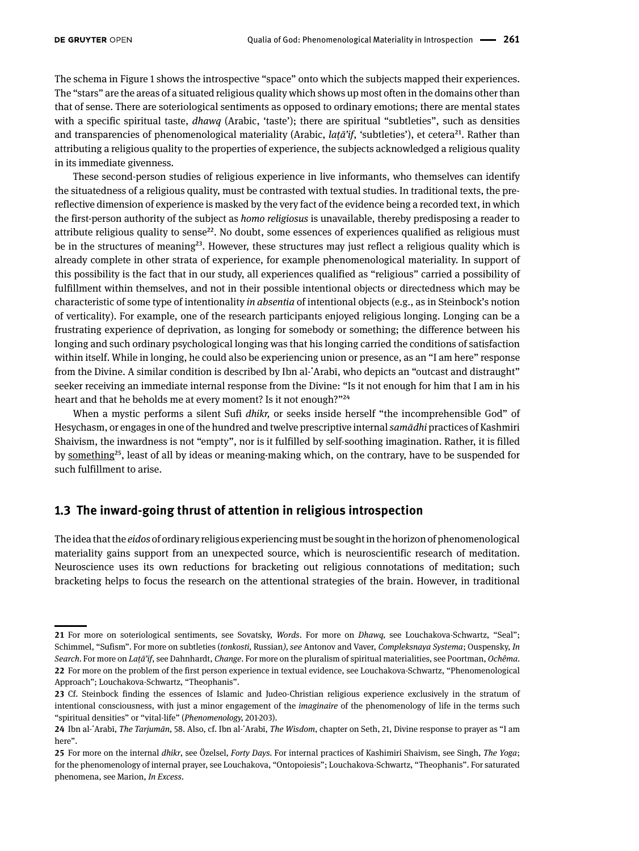The schema in Figure 1 shows the introspective "space" onto which the subjects mapped their experiences. The "stars" are the areas of a situated religious quality which shows up most often in the domains other than that of sense. There are soteriological sentiments as opposed to ordinary emotions; there are mental states with a specific spiritual taste, *dhawq* (Arabic, 'taste'); there are spiritual "subtleties", such as densities and transparencies of phenomenological materiality (Arabic, *lațā'if*, 'subtleties'), et cetera<sup>21</sup>. Rather than attributing a religious quality to the properties of experience, the subjects acknowledged a religious quality in its immediate givenness.

These second-person studies of religious experience in live informants, who themselves can identify the situatedness of a religious quality, must be contrasted with textual studies. In traditional texts, the prereflective dimension of experience is masked by the very fact of the evidence being a recorded text, in which the first-person authority of the subject as *homo religiosus* is unavailable, thereby predisposing a reader to attribute religious quality to sense<sup>22</sup>. No doubt, some essences of experiences qualified as religious must be in the structures of meaning<sup>23</sup>. However, these structures may just reflect a religious quality which is already complete in other strata of experience, for example phenomenological materiality. In support of this possibility is the fact that in our study, all experiences qualified as "religious" carried a possibility of fulfillment within themselves, and not in their possible intentional objects or directedness which may be characteristic of some type of intentionality *in absentia* of intentional objects (e.g., as in Steinbock's notion of verticality). For example, one of the research participants enjoyed religious longing. Longing can be a frustrating experience of deprivation, as longing for somebody or something; the difference between his longing and such ordinary psychological longing was that his longing carried the conditions of satisfaction within itself. While in longing, he could also be experiencing union or presence, as an "I am here" response from the Divine. A similar condition is described by Ibn al-ʻArabī, who depicts an "outcast and distraught" seeker receiving an immediate internal response from the Divine: "Is it not enough for him that I am in his heart and that he beholds me at every moment? Is it not enough?"<sup>24</sup>

When a mystic performs a silent Sufi *dhikr,* or seeks inside herself "the incomprehensible God" of Hesychasm, or engages in one of the hundred and twelve prescriptive internal *samādhi* practices of Kashmiri Shaivism, the inwardness is not "empty", nor is it fulfilled by self-soothing imagination. Rather, it is filled by something<sup>25</sup>, least of all by ideas or meaning-making which, on the contrary, have to be suspended for such fulfillment to arise.

## **1.3 The inward-going thrust of attention in religious introspection**

The idea that the *eidos* of ordinary religious experiencing must be sought in the horizon of phenomenological materiality gains support from an unexpected source, which is neuroscientific research of meditation. Neuroscience uses its own reductions for bracketing out religious connotations of meditation; such bracketing helps to focus the research on the attentional strategies of the brain. However, in traditional

**<sup>21</sup>** For more on soteriological sentiments, see Sovatsky, *Words*. For more on *Dhawq,* see Louchakova-Schwartz, "Seal"; Schimmel, "Sufism". For more on subtleties (*tonkosti,* Russian*), see* Antonov and Vaver, *Compleksnaya Systema*; Ouspensky, *In Search*. For more on *Laṭā'if*, see Dahnhardt, *Change*. For more on the pluralism of spiritual materialities, see Poortman, *Ochêma.* **22** For more on the problem of the first person experience in textual evidence, see Louchakova-Schwartz, "Phenomenological Approach"; Louchakova-Schwartz, "Theophanis".

**<sup>23</sup>** Cf. Steinbock finding the essences of Islamic and Judeo-Christian religious experience exclusively in the stratum of intentional consciousness, with just a minor engagement of the *imaginaire* of the phenomenology of life in the terms such "spiritual densities" or "vital-life" (*Phenomenology,* 201-203).

**<sup>24</sup>** Ibn al-ʻArabī, *The Tarjumān*, 58. Also, cf. Ibn al-ʻArabī, *The Wisdom*, chapter on Seth, 21, Divine response to prayer as "I am here".

**<sup>25</sup>** For more on the internal *dhikr*, see Özelsel*, Forty Days.* For internal practices of Kashimiri Shaivism, see Singh, *The Yoga*; for the phenomenology of internal prayer, see Louchakova, "Ontopoiesis"; Louchakova-Schwartz, "Theophanis". For saturated phenomena, see Marion, *In Excess*.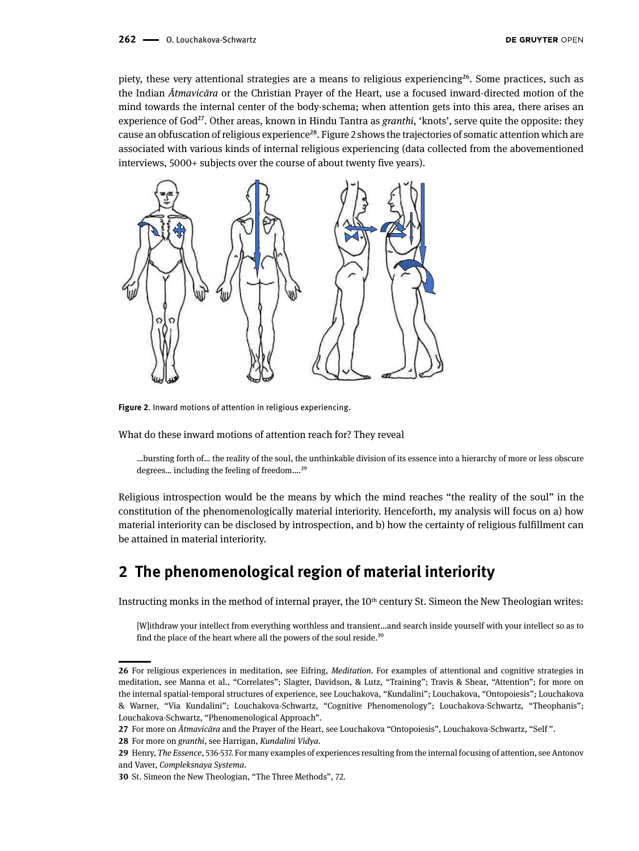piety, these very attentional strategies are a means to religious experiencing<sup>26</sup>. Some practices, such as the Indian *Ātmavicāra* or the Christian Prayer of the Heart*,* use a focused inward-directed motion of the mind towards the internal center of the body-schema; when attention gets into this area, there arises an experience of God<sup>27</sup>. Other areas, known in Hindu Tantra as *granthi*, 'knots', serve quite the opposite: they cause an obfuscation of religious experience<sup>28</sup>. Figure 2 shows the trajectories of somatic attention which are associated with various kinds of internal religious experiencing (data collected from the abovementioned interviews, 5000+ subjects over the course of about twenty five years).



**Figure 2***.* Inward motions of attention in religious experiencing.

What do these inward motions of attention reach for? They reveal

…bursting forth of… the reality of the soul, the unthinkable division of its essence into a hierarchy of more or less obscure degrees... including the feeling of freedom....<sup>29</sup>

Religious introspection would be the means by which the mind reaches "the reality of the soul" in the constitution of the phenomenologically material interiority. Henceforth, my analysis will focus on a) how material interiority can be disclosed by introspection, and b) how the certainty of religious fulfillment can be attained in material interiority.

## **2 The phenomenological region of material interiority**

Instructing monks in the method of internal prayer, the  $10<sup>th</sup>$  century St. Simeon the New Theologian writes:

[W]ithdraw your intellect from everything worthless and transient…and search inside yourself with your intellect so as to find the place of the heart where all the powers of the soul reside.<sup>30</sup>

**28** For more on *granthi*, see Harrigan, *Kundalini Vidya.*

**<sup>26</sup>** For religious experiences in meditation, see Eifring, *Meditation*. For examples of attentional and cognitive strategies in meditation, see Manna et al., "Correlates"; Slagter, Davidson, & Lutz, "Training"; Travis & Shear, "Attention"; for more on the internal spatial-temporal structures of experience, see Louchakova, "Kundalini"; Louchakova, "Ontopoiesis"*;* Louchakova & Warner*,* "Via Kundalini"; Louchakova-Schwartz, "Cognitive Phenomenology"; Louchakova-Schwartz, "Theophanis"; Louchakova-Schwartz, "Phenomenological Approach".

**<sup>27</sup>** For more on *Ātmavicāra* and the Prayer of the Heart, see Louchakova "Ontopoiesis", Louchakova-Schwartz, "Self ".

**<sup>29</sup>** Henry, *The Essence*, 536-537. For many examples of experiences resulting from the internal focusing of attention, see Antonov and Vaver, *Compleksnaya Systema.*

**<sup>30</sup>** St. Simeon the New Theologian, "The Three Methods", 72.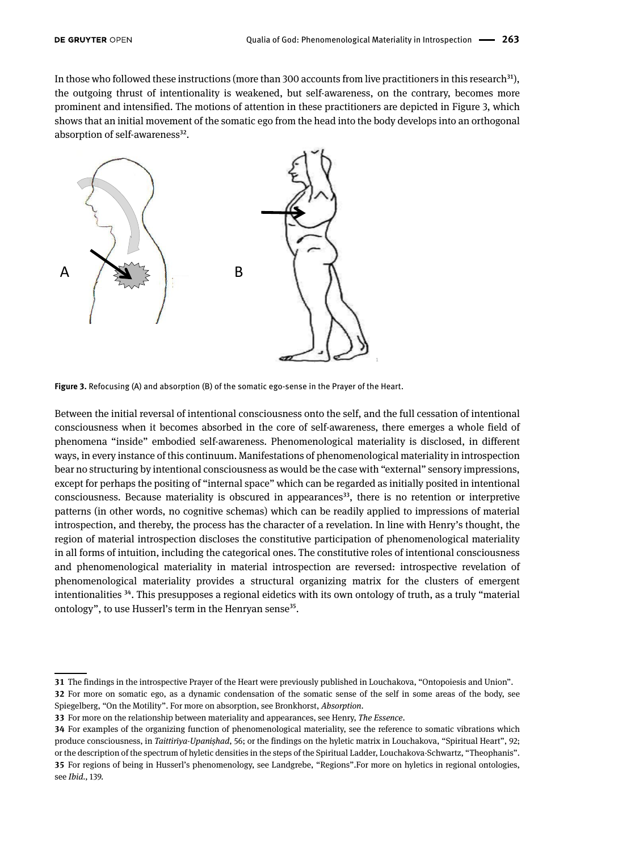In those who followed these instructions (more than 300 accounts from live practitioners in this research<sup>31</sup>), the outgoing thrust of intentionality is weakened, but self-awareness, on the contrary, becomes more prominent and intensified. The motions of attention in these practitioners are depicted in Figure 3, which shows that an initial movement of the somatic ego from the head into the body develops into an orthogonal absorption of self-awareness $^{32}$ .



**Figure 3.** Refocusing (A) and absorption (B) of the somatic ego-sense in the Prayer of the Heart.

Between the initial reversal of intentional consciousness onto the self, and the full cessation of intentional consciousness when it becomes absorbed in the core of self-awareness, there emerges a whole field of phenomena "inside" embodied self-awareness. Phenomenological materiality is disclosed, in different ways, in every instance of this continuum. Manifestations of phenomenological materiality in introspection bear no structuring by intentional consciousness as would be the case with "external" sensory impressions, except for perhaps the positing of "internal space" which can be regarded as initially posited in intentional consciousness. Because materiality is obscured in appearances<sup>33</sup>, there is no retention or interpretive patterns (in other words, no cognitive schemas) which can be readily applied to impressions of material introspection, and thereby, the process has the character of a revelation. In line with Henry's thought, the region of material introspection discloses the constitutive participation of phenomenological materiality in all forms of intuition, including the categorical ones. The constitutive roles of intentional consciousness and phenomenological materiality in material introspection are reversed: introspective revelation of phenomenological materiality provides a structural organizing matrix for the clusters of emergent intentionalities 34. This presupposes a regional eidetics with its own ontology of truth, as a truly "material ontology", to use Husserl's term in the Henryan sense<sup>35</sup>.

**<sup>31</sup>** The findings in the introspective Prayer of the Heart were previously published in Louchakova, "Ontopoiesis and Union".

**<sup>32</sup>** For more on somatic ego, as a dynamic condensation of the somatic sense of the self in some areas of the body, see Spiegelberg, "On the Motility". For more on absorption, see Bronkhorst, *Absorption*.

**<sup>33</sup>** For more on the relationship between materiality and appearances, see Henry, *The Essence*.

**<sup>34</sup>** For examples of the organizing function of phenomenological materiality, see the reference to somatic vibrations which produce consciousness, in *Taittirīya-Upaniṣhad*, 56; or the findings on the hyletic matrix in Louchakova, "Spiritual Heart", 92; or the description of the spectrum of hyletic densities in the steps of the Spiritual Ladder, Louchakova-Schwartz, "Theophanis". **35** For regions of being in Husserl's phenomenology, see Landgrebe, "Regions".For more on hyletics in regional ontologies, see *Ibid.,* 139.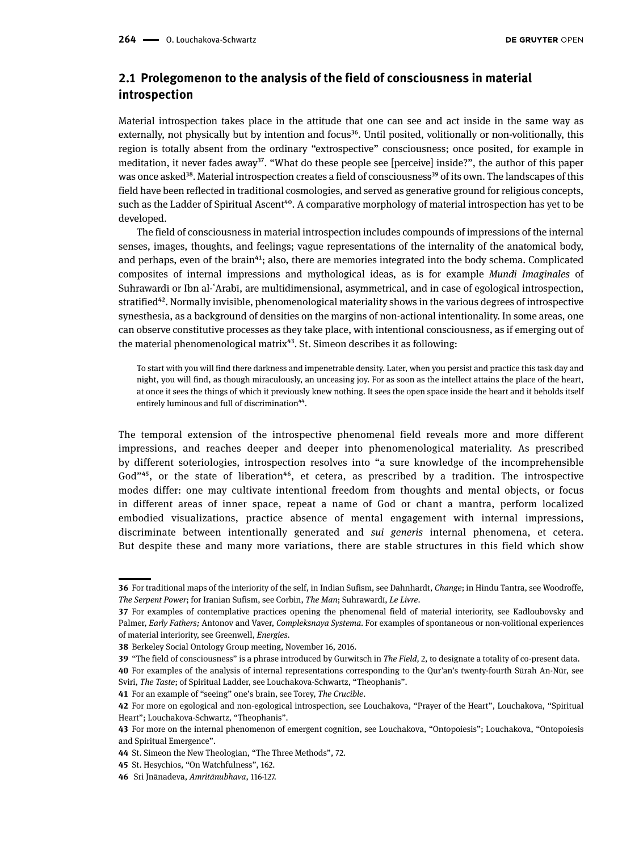## **2.1 Prolegomenon to the analysis of the field of consciousness in material introspection**

Material introspection takes place in the attitude that one can see and act inside in the same way as externally, not physically but by intention and focus<sup>36</sup>. Until posited, volitionally or non-volitionally, this region is totally absent from the ordinary "extrospective" consciousness; once posited, for example in meditation, it never fades away<sup>37</sup>. "What do these people see [perceive] inside?", the author of this paper was once asked<sup>38</sup>. Material introspection creates a field of consciousness<sup>39</sup> of its own. The landscapes of this field have been reflected in traditional cosmologies, and served as generative ground for religious concepts, such as the Ladder of Spiritual Ascent<sup>40</sup>. A comparative morphology of material introspection has yet to be developed.

The field of consciousness in material introspection includes compounds of impressions of the internal senses, images, thoughts, and feelings; vague representations of the internality of the anatomical body, and perhaps, even of the brain<sup>41</sup>; also, there are memories integrated into the body schema. Complicated composites of internal impressions and mythological ideas, as is for example *Mundi Imaginales* of Suhrawardī or Ibn al-ʻArabī, are multidimensional, asymmetrical, and in case of egological introspection, stratified<sup>42</sup>. Normally invisible, phenomenological materiality shows in the various degrees of introspective synesthesia, as a background of densities on the margins of non-actional intentionality. In some areas, one can observe constitutive processes as they take place, with intentional consciousness, as if emerging out of the material phenomenological matrix<sup>43</sup>. St. Simeon describes it as following:

To start with you will find there darkness and impenetrable density. Later, when you persist and practice this task day and night, you will find, as though miraculously, an unceasing joy. For as soon as the intellect attains the place of the heart, at once it sees the things of which it previously knew nothing. It sees the open space inside the heart and it beholds itself entirely luminous and full of discrimination<sup>44</sup>.

The temporal extension of the introspective phenomenal field reveals more and more different impressions, and reaches deeper and deeper into phenomenological materiality. As prescribed by different soteriologies, introspection resolves into "a sure knowledge of the incomprehensible God"<sup>45</sup>, or the state of liberation<sup>46</sup>, et cetera, as prescribed by a tradition. The introspective modes differ: one may cultivate intentional freedom from thoughts and mental objects, or focus in different areas of inner space, repeat a name of God or chant a mantra, perform localized embodied visualizations, practice absence of mental engagement with internal impressions, discriminate between intentionally generated and *sui generis* internal phenomena, et cetera. But despite these and many more variations, there are stable structures in this field which show

**<sup>36</sup>** For traditional maps of the interiority of the self, in Indian Sufism, see Dahnhardt, *Change*; in Hindu Tantra, see Woodroffe, *The Serpent Power*; for Iranian Sufism, see Corbin, *The Man*; Suhrawardī, *Le Livre*.

**<sup>37</sup>** For examples of contemplative practices opening the phenomenal field of material interiority, see Kadloubovsky and Palmer, *Early Fathers;* Antonov and Vaver, *Compleksnaya Systema.* For examples of spontaneous or non-volitional experiences of material interiority, see Greenwell, *Energies.*

**<sup>38</sup>** Berkeley Social Ontology Group meeting, November 16, 2016.

**<sup>39</sup>** "The field of consciousness" is a phrase introduced by Gurwitsch in *The Field,* 2, to designate a totality of co-present data.

**<sup>40</sup>** For examples of the analysis of internal representations corresponding to the Qur'an's twenty-fourth Sūrah An-Nūr, see Sviri, *The Taste*; of Spiritual Ladder, see Louchakova-Schwartz, "Theophanis".

**<sup>41</sup>** For an example of "seeing" one's brain, see Torey, *The Crucible*.

**<sup>42</sup>** For more on egological and non-egological introspection, see Louchakova, "Prayer of the Heart", Louchakova, "Spiritual Heart"; Louchakova-Schwartz, "Theophanis".

**<sup>43</sup>** For more on the internal phenomenon of emergent cognition, see Louchakova, "Ontopoiesis"; Louchakova, "Ontopoiesis and Spiritual Emergence".

**<sup>44</sup>** St. Simeon the New Theologian, "The Three Methods", 72.

**<sup>45</sup>** St. Hesychios, "On Watchfulness", 162.

**<sup>46</sup>** Sri Jnānadeva, *Amritānubhava*, 116-127.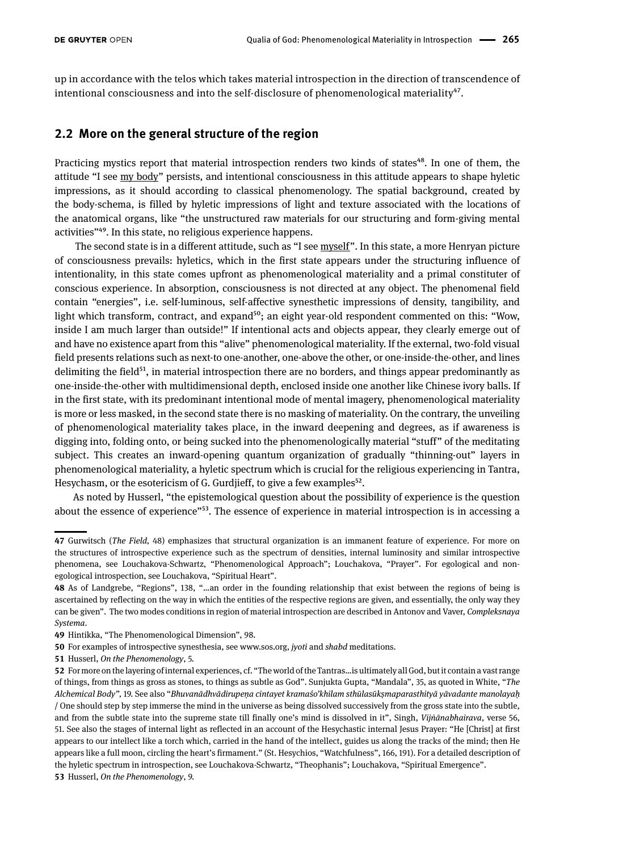up in accordance with the telos which takes material introspection in the direction of transcendence of intentional consciousness and into the self-disclosure of phenomenological materiality $47$ .

#### **2.2 More on the general structure of the region**

Practicing mystics report that material introspection renders two kinds of states<sup>48</sup>. In one of them, the attitude "I see my body" persists, and intentional consciousness in this attitude appears to shape hyletic impressions, as it should according to classical phenomenology. The spatial background, created by the body-schema, is filled by hyletic impressions of light and texture associated with the locations of the anatomical organs, like "the unstructured raw materials for our structuring and form-giving mental activities"49. In this state, no religious experience happens.

 The second state is in a different attitude, such as "I see myself". In this state, a more Henryan picture of consciousness prevails: hyletics, which in the first state appears under the structuring influence of intentionality, in this state comes upfront as phenomenological materiality and a primal constituter of conscious experience. In absorption, consciousness is not directed at any object. The phenomenal field contain "energies", i.e. self-luminous, self-affective synesthetic impressions of density, tangibility, and light which transform, contract, and expand<sup>50</sup>; an eight year-old respondent commented on this: "Wow, inside I am much larger than outside!" If intentional acts and objects appear, they clearly emerge out of and have no existence apart from this "alive" phenomenological materiality. If the external, two-fold visual field presents relations such as next-to one-another, one-above the other, or one-inside-the-other, and lines delimiting the field<sup>51</sup>, in material introspection there are no borders, and things appear predominantly as one-inside-the-other with multidimensional depth, enclosed inside one another like Chinese ivory balls. If in the first state, with its predominant intentional mode of mental imagery, phenomenological materiality is more or less masked, in the second state there is no masking of materiality. On the contrary, the unveiling of phenomenological materiality takes place, in the inward deepening and degrees, as if awareness is digging into, folding onto, or being sucked into the phenomenologically material "stuff" of the meditating subject. This creates an inward-opening quantum organization of gradually "thinning-out" layers in phenomenological materiality, a hyletic spectrum which is crucial for the religious experiencing in Tantra, Hesychasm, or the esotericism of G. Gurdjieff, to give a few examples<sup>52</sup>.

As noted by Husserl, "the epistemological question about the possibility of experience is the question about the essence of experience"53. The essence of experience in material introspection is in accessing a

**<sup>47</sup>** Gurwitsch (*The Field,* 48) emphasizes that structural organization is an immanent feature of experience. For more on the structures of introspective experience such as the spectrum of densities, internal luminosity and similar introspective phenomena, see Louchakova-Schwartz, "Phenomenological Approach"; Louchakova, "Prayer". For egological and nonegological introspection, see Louchakova, "Spiritual Heart".

**<sup>48</sup>** As of Landgrebe, "Regions", 138, "…an order in the founding relationship that exist between the regions of being is ascertained by reflecting on the way in which the entities of the respective regions are given, and essentially, the only way they can be given". The two modes conditions in region of material introspection are described in Antonov and Vaver, *Compleksnaya Systema*.

**<sup>49</sup>** Hintikka, "The Phenomenological Dimension", 98.

**<sup>50</sup>** For examples of introspective synesthesia, see www.sos.org, *jyoti* and *shabd* meditations.

**<sup>51</sup>** Husserl, *On the Phenomenology*, 5.

**<sup>52</sup>** For more on the layering of internal experiences, cf. "The world of the Tantras…is ultimately all God, but it contain a vast range of things, from things as gross as stones, to things as subtle as God". Sunjukta Gupta, "Mandala", 35, as quoted in White, "*The Alchemical Body",* 19. See also "*Bhuvanādhvādirupeṇa cintayet kramaśo'khilam sthūlasūkṣmaparasthityā yāvadante manolayaḥ* / One should step by step immerse the mind in the universe as being dissolved successively from the gross state into the subtle, and from the subtle state into the supreme state till finally one's mind is dissolved in it", Singh, *Vijṅānabhairava*, verse 56, 51. See also the stages of internal light as reflected in an account of the Hesychastic internal Jesus Prayer: "He [Christ] at first appears to our intellect like a torch which, carried in the hand of the intellect, guides us along the tracks of the mind; then He appears like a full moon, circling the heart's firmament." (St. Hesychios, "Watchfulness", 166, 191). For a detailed description of the hyletic spectrum in introspection, see Louchakova-Schwartz, "Theophanis"; Louchakova, "Spiritual Emergence".

**<sup>53</sup>** Husserl, *On the Phenomenology*, 9.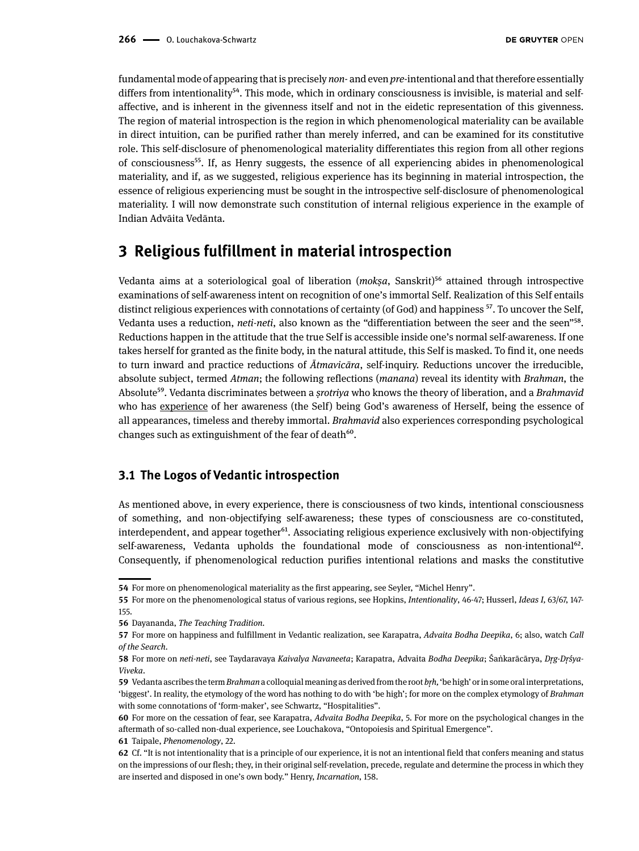fundamental mode of appearing that is precisely *non-* and even *pre-*intentional and that therefore essentially differs from intentionality<sup>54</sup>. This mode, which in ordinary consciousness is invisible, is material and selfaffective, and is inherent in the givenness itself and not in the eidetic representation of this givenness. The region of material introspection is the region in which phenomenological materiality can be available in direct intuition, can be purified rather than merely inferred, and can be examined for its constitutive role. This self-disclosure of phenomenological materiality differentiates this region from all other regions of consciousness55. If, as Henry suggests, the essence of all experiencing abides in phenomenological materiality, and if, as we suggested, religious experience has its beginning in material introspection, the essence of religious experiencing must be sought in the introspective self-disclosure of phenomenological materiality. I will now demonstrate such constitution of internal religious experience in the example of Indian Advāita Vedānta.

## **3 Religious fulfillment in material introspection**

Vedanta aims at a soteriological goal of liberation (*mokṣa*, Sanskrit)56 attained through introspective examinations of self-awareness intent on recognition of one's immortal Self. Realization of this Self entails distinct religious experiences with connotations of certainty (of God) and happiness 57. To uncover the Self, Vedanta uses a reduction, *neti*-*neti*, also known as the "differentiation between the seer and the seen"58. Reductions happen in the attitude that the true Self is accessible inside one's normal self-awareness. If one takes herself for granted as the finite body, in the natural attitude, this Self is masked. To find it, one needs to turn inward and practice reductions of *Ātmavicāra*, self-inquiry. Reductions uncover the irreducible, absolute subject, termed *Atman*; the following reflections (*manana*) reveal its identity with *Brahman*, the Absolute59. Vedanta discriminates between a *ṣrotriya* who knows the theory of liberation, and a *Brahmavid* who has experience of her awareness (the Self) being God's awareness of Herself, being the essence of all appearances, timeless and thereby immortal. *Brahmavid* also experiences corresponding psychological changes such as extinguishment of the fear of death $60$ .

## **3.1 The Logos of Vedantic introspection**

As mentioned above, in every experience, there is consciousness of two kinds, intentional consciousness of something, and non-objectifying self-awareness; these types of consciousness are co-constituted, interdependent, and appear together<sup>61</sup>. Associating religious experience exclusively with non-objectifying self-awareness, Vedanta upholds the foundational mode of consciousness as non-intentional $62$ . Consequently, if phenomenological reduction purifies intentional relations and masks the constitutive

**<sup>54</sup>** For more on phenomenological materiality as the first appearing, see Seyler, "Michel Henry".

**<sup>55</sup>** For more on the phenomenological status of various regions, see Hopkins, *Intentionality*, 46-47; Husserl, *Ideas I,* 63/67, 147- 155.

**<sup>56</sup>** Dayananda, *The Teaching Tradition*.

**<sup>57</sup>** For more on happiness and fulfillment in Vedantic realization, see Karapatra, *Advaita Bodha Deepika*, 6; also, watch *Call of the Search*.

**<sup>58</sup>** For more on *neti-neti*, see Taydaravaya *Kaivalya Navaneeta*; Karapatra, Advaita *Bodha Deepika*; Śaṅkarācārya, *Dŗg-Dŗśya-Viveka*.

**<sup>59</sup>** Vedanta ascribes the term *Brahman* a colloquial meaning as derived from the root *bŗh,* 'be high' or in some oral interpretations, 'biggest'. In reality, the etymology of the word has nothing to do with 'be high'; for more on the complex etymology of *Brahman* with some connotations of 'form-maker', see Schwartz, "Hospitalities".

**<sup>60</sup>** For more on the cessation of fear, see Karapatra, *Advaita Bodha Deepika*, 5. For more on the psychological changes in the aftermath of so-called non-dual experience, see Louchakova, "Ontopoiesis and Spiritual Emergence".

**<sup>61</sup>** Taipale, *Phenomenology*, 22.

**<sup>62</sup>** Cf. "It is not intentionality that is a principle of our experience, it is not an intentional field that confers meaning and status on the impressions of our flesh; they, in their original self-revelation, precede, regulate and determine the process in which they are inserted and disposed in one's own body." Henry, *Incarnation*, 158.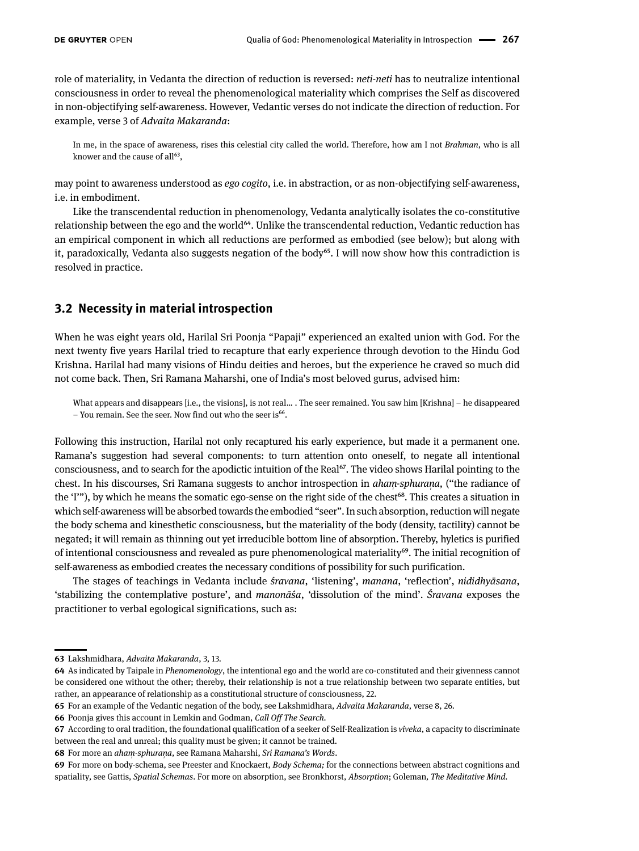role of materiality, in Vedanta the direction of reduction is reversed: *neti-neti* has to neutralize intentional consciousness in order to reveal the phenomenological materiality which comprises the Self as discovered in non-objectifying self-awareness. However, Vedantic verses do not indicate the direction of reduction. For example, verse 3 of *Advaita Makaranda*:

In me, in the space of awareness, rises this celestial city called the world. Therefore, how am I not *Brahman*, who is all knower and the cause of all<sup>63</sup>,

may point to awareness understood as *ego cogito*, i.e. in abstraction, or as non-objectifying self-awareness, i.e. in embodiment.

Like the transcendental reduction in phenomenology, Vedanta analytically isolates the co-constitutive relationship between the ego and the world<sup>64</sup>. Unlike the transcendental reduction, Vedantic reduction has an empirical component in which all reductions are performed as embodied (see below); but along with it, paradoxically, Vedanta also suggests negation of the body<sup>65</sup>. I will now show how this contradiction is resolved in practice.

## **3.2 Necessity in material introspection**

When he was eight years old, Harilal Sri Poonja "Papaji" experienced an exalted union with God. For the next twenty five years Harilal tried to recapture that early experience through devotion to the Hindu God Krishna. Harilal had many visions of Hindu deities and heroes, but the experience he craved so much did not come back. Then, Sri Ramana Maharshi, one of India's most beloved gurus, advised him:

What appears and disappears [i.e., the visions], is not real... . The seer remained. You saw him [Krishna] – he disappeared – You remain. See the seer. Now find out who the seer is<sup>66</sup>.

Following this instruction, Harilal not only recaptured his early experience, but made it a permanent one. Ramana's suggestion had several components: to turn attention onto oneself, to negate all intentional consciousness, and to search for the apodictic intuition of the Real<sup>67</sup>. The video shows Harilal pointing to the chest. In his discourses, Sri Ramana suggests to anchor introspection in *aham-sphurana*, ("the radiance of the 'I'"), by which he means the somatic ego-sense on the right side of the chest<sup>68</sup>. This creates a situation in which self-awareness will be absorbed towards the embodied "seer". In such absorption, reduction will negate the body schema and kinesthetic consciousness, but the materiality of the body (density, tactility) cannot be negated; it will remain as thinning out yet irreducible bottom line of absorption. Thereby, hyletics is purified of intentional consciousness and revealed as pure phenomenological materiality<sup>69</sup>. The initial recognition of self-awareness as embodied creates the necessary conditions of possibility for such purification.

The stages of teachings in Vedanta include *śravana*, 'listening', *manana*, 'reflection', *nididhyāsana*, 'stabilizing the contemplative posture', and *manonāśa*, 'dissolution of the mind'. *Śravana* exposes the practitioner to verbal egological significations, such as:

**<sup>63</sup>** Lakshmidhara, *Advaita Makaranda*, 3, 13.

**<sup>64</sup>** As indicated by Taipale in *Phenomenology*, the intentional ego and the world are co-constituted and their givenness cannot be considered one without the other; thereby, their relationship is not a true relationship between two separate entities, but rather, an appearance of relationship as a constitutional structure of consciousness, 22.

**<sup>65</sup>** For an example of the Vedantic negation of the body, see Lakshmidhara, *Advaita Makaranda*, verse 8, 26.

**<sup>66</sup>** Poonja gives this account in Lemkin and Godman, *Call Off The Search.*

**<sup>67</sup>** According to oral tradition, the foundational qualification of a seeker of Self-Realization is *viveka*, a capacity to discriminate between the real and unreal; this quality must be given; it cannot be trained.

**<sup>68</sup>** For more an *aham̩-sphuran̩a*, see Ramana Maharshi, *Sri Ramana's Words*.

**<sup>69</sup>** For more on body-schema, see Preester and Knockaert, *Body Schema;* for the connections between abstract cognitions and spatiality*,* see Gattis, *Spatial Schemas*. For more on absorption, see Bronkhorst, *Absorption*; Goleman*, The Meditative Mind.*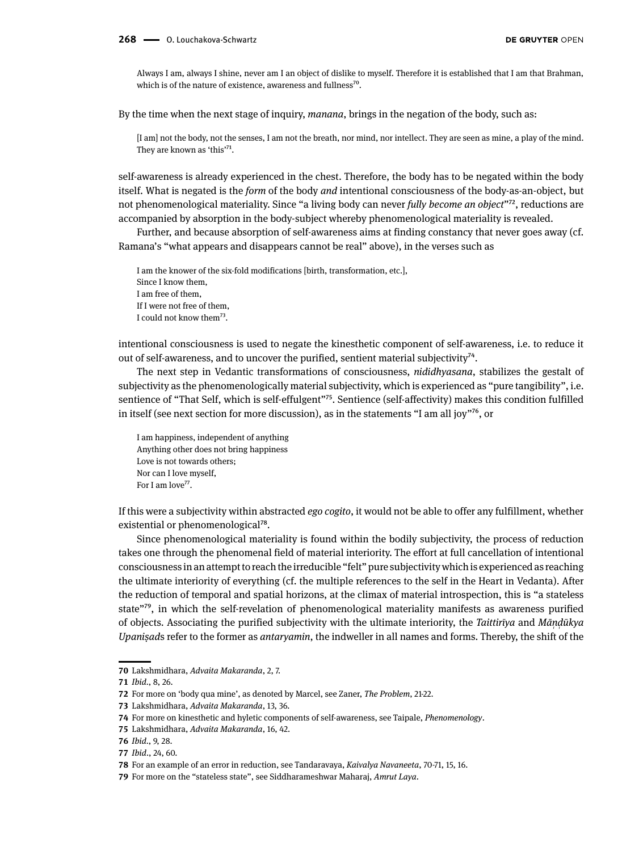Always I am, always I shine, never am I an object of dislike to myself. Therefore it is established that I am that Brahman, which is of the nature of existence, awareness and fullness<sup>70</sup>.

By the time when the next stage of inquiry, *manana*, brings in the negation of the body, such as:

[I am] not the body, not the senses, I am not the breath, nor mind, nor intellect. They are seen as mine, a play of the mind. They are known as 'this'<sup>71</sup>.

self-awareness is already experienced in the chest. Therefore, the body has to be negated within the body itself. What is negated is the *form* of the body *and* intentional consciousness of the body-as-an-object, but not phenomenological materiality. Since "a living body can never *fully become an object*"72, reductions are accompanied by absorption in the body-subject whereby phenomenological materiality is revealed.

Further, and because absorption of self-awareness aims at finding constancy that never goes away (cf. Ramana's "what appears and disappears cannot be real" above), in the verses such as

I am the knower of the six-fold modifications [birth, transformation, etc.], Since I know them, I am free of them, If I were not free of them, I could not know them73.

intentional consciousness is used to negate the kinesthetic component of self-awareness, i.e. to reduce it out of self-awareness, and to uncover the purified, sentient material subjectivity<sup>74</sup>.

The next step in Vedantic transformations of consciousness, *nididhyasana*, stabilizes the gestalt of subjectivity as the phenomenologically material subjectivity, which is experienced as "pure tangibility", i.e. sentience of "That Self, which is self-effulgent"<sup>75</sup>. Sentience (self-affectivity) makes this condition fulfilled in itself (see next section for more discussion), as in the statements "I am all joy"<sup>76</sup>, or

I am happiness, independent of anything Anything other does not bring happiness Love is not towards others; Nor can I love myself, For I am love<sup>77</sup>.

If this were a subjectivity within abstracted *ego cogito*, it would not be able to offer any fulfillment, whether existential or phenomenological<sup>78</sup>.

Since phenomenological materiality is found within the bodily subjectivity, the process of reduction takes one through the phenomenal field of material interiority. The effort at full cancellation of intentional consciousness in an attempt to reach the irreducible "felt" pure subjectivity which is experienced as reaching the ultimate interiority of everything (cf. the multiple references to the self in the Heart in Vedanta). After the reduction of temporal and spatial horizons, at the climax of material introspection, this is "a stateless state"79, in which the self-revelation of phenomenological materiality manifests as awareness purified of objects. Associating the purified subjectivity with the ultimate interiority, the *Taittirīya* and *Mān̩d̩ūkya Upaniṣad*s refer to the former as *antaryamin*, the indweller in all names and forms. Thereby, the shift of the

**<sup>70</sup>** Lakshmidhara, *Advaita Makaranda*, 2, 7.

**<sup>71</sup>** *Ibid.*, 8, 26.

**<sup>72</sup>** For more on 'body qua mine', as denoted by Marcel, see Zaner, *The Problem*, 21-22.

**<sup>73</sup>** Lakshmidhara, *Advaita Makaranda*, 13, 36.

**<sup>74</sup>** For more on kinesthetic and hyletic components of self-awareness, see Taipale, *Phenomenology*.

**<sup>75</sup>** Lakshmidhara, *Advaita Makaranda*, 16, 42.

**<sup>76</sup>** *Ibid.*, 9, 28.

**<sup>77</sup>** *Ibid*., 24, 60.

**<sup>78</sup>** For an example of an error in reduction, see Tandaravaya, *Kaivalya Navaneeta*, 70-71, 15, 16.

**<sup>79</sup>** For more on the "stateless state", see [Siddharameshwar Maharaj,](https://www.amazon.com/s/ref=dp_byline_sr_book_1?ie=UTF8&text=Shri+Sadguru+Siddharameshwar+Maharaj&search-alias=books&field-author=Shri+Sadguru+Siddharameshwar+Maharaj&sort=relevancerank) *Amrut Laya*.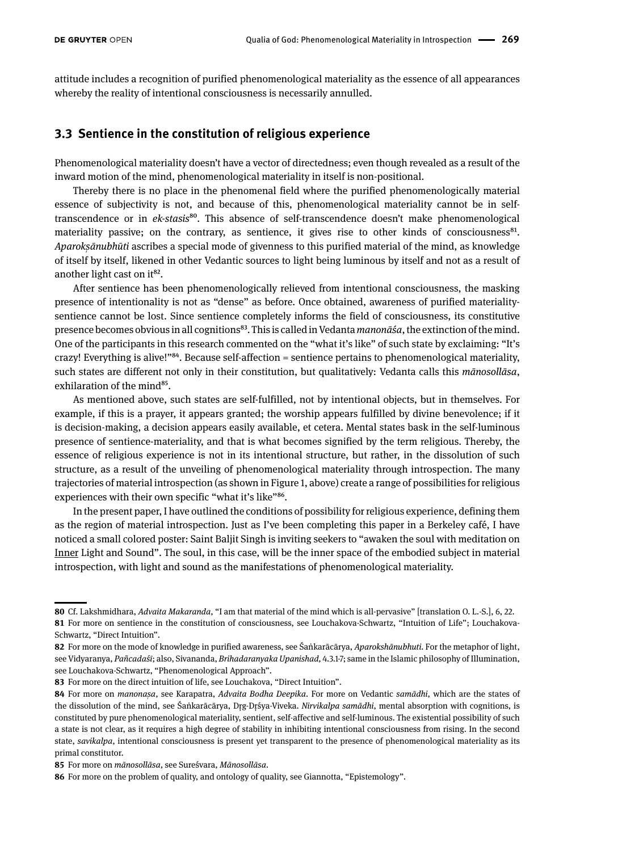attitude includes a recognition of purified phenomenological materiality as the essence of all appearances whereby the reality of intentional consciousness is necessarily annulled.

## **3.3 Sentience in the constitution of religious experience**

Phenomenological materiality doesn't have a vector of directedness; even though revealed as a result of the inward motion of the mind, phenomenological materiality in itself is non-positional.

Thereby there is no place in the phenomenal field where the purified phenomenologically material essence of subjectivity is not, and because of this, phenomenological materiality cannot be in selftranscendence or in *ek-stasis*80. This absence of self-transcendence doesn't make phenomenological materiality passive; on the contrary, as sentience, it gives rise to other kinds of consciousness<sup>81</sup>. *Aparoks̩ānubhūti* ascribes a special mode of givenness to this purified material of the mind, as knowledge of itself by itself, likened in other Vedantic sources to light being luminous by itself and not as a result of another light cast on it<sup>82</sup>.

After sentience has been phenomenologically relieved from intentional consciousness, the masking presence of intentionality is not as "dense" as before. Once obtained, awareness of purified materialitysentience cannot be lost. Since sentience completely informs the field of consciousness, its constitutive presence becomes obvious in all cognitions83. This is called in Vedanta *manonāśa*, the extinction of the mind. One of the participants in this research commented on the "what it's like" of such state by exclaiming: "It's crazy! Everything is alive!"84. Because self-affection = sentience pertains to phenomenological materiality, such states are different not only in their constitution, but qualitatively: Vedanta calls this *mānosollāsa*, exhilaration of the mind<sup>85</sup>.

As mentioned above, such states are self-fulfilled, not by intentional objects, but in themselves. For example, if this is a prayer, it appears granted; the worship appears fulfilled by divine benevolence; if it is decision-making, a decision appears easily available, et cetera. Mental states bask in the self-luminous presence of sentience-materiality, and that is what becomes signified by the term religious. Thereby, the essence of religious experience is not in its intentional structure, but rather, in the dissolution of such structure, as a result of the unveiling of phenomenological materiality through introspection. The many trajectories of material introspection (as shown in Figure 1, above) create a range of possibilities for religious experiences with their own specific "what it's like"<sup>86</sup>.

In the present paper, I have outlined the conditions of possibility for religious experience, defining them as the region of material introspection. Just as I've been completing this paper in a Berkeley café, I have noticed a small colored poster: Saint Baljit Singh is inviting seekers to "awaken the soul with meditation on Inner Light and Sound". The soul, in this case, will be the inner space of the embodied subject in material introspection, with light and sound as the manifestations of phenomenological materiality.

**<sup>80</sup>** Cf. Lakshmidhara, *Advaita Makaranda*, "I am that material of the mind which is all-pervasive" [translation O. L.-S.], 6, 22. **81** For more on sentience in the constitution of consciousness, see Louchakova-Schwartz, "Intuition of Life"; Louchakova-Schwartz, "Direct Intuition".

**<sup>82</sup>** For more on the mode of knowledge in purified awareness, see Śaṅkarācārya, *Aparokshānubhuti.* For the metaphor of light, see Vidyaranya, *Pañcadaśī*; also, Sivananda, *Brihadaranyaka Upanishad,* 4.3.1-7; same in the Islamic philosophy of Illumination, see Louchakova-Schwartz, "Phenomenological Approach".

**<sup>83</sup>** For more on the direct intuition of life, see Louchakova, "Direct Intuition".

**<sup>84</sup>** For more on *manonas̩a*, see Karapatra, *Advaita Bodha Deepika*. For more on Vedantic *samādhi*, which are the states of the dissolution of the mind, see Śaṅkarācārya, Dŗg-Dŗśya-Viveka. *Nirvikalpa samādhi*, mental absorption with cognitions, is constituted by pure phenomenological materiality, sentient, self-affective and self-luminous. The existential possibility of such a state is not clear, as it requires a high degree of stability in inhibiting intentional consciousness from rising. In the second state, *savikalpa*, intentional consciousness is present yet transparent to the presence of phenomenological materiality as its primal constitutor.

**<sup>85</sup>** For more on *mānosollāsa*, see Sureśvara, *Mānosollāsa*.

**<sup>86</sup>** For more on the problem of quality, and ontology of quality, see Giannotta, "Epistemology"*.*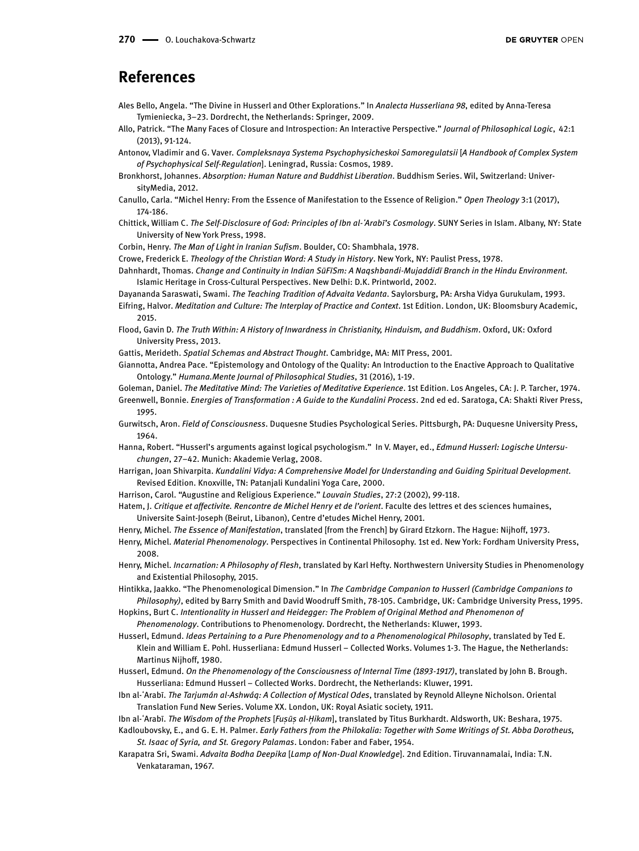## **References**

- Ales Bello, Angela. "The Divine in Husserl and Other Explorations." In *Analecta Husserliana 98*, edited by Anna-Teresa Tymieniecka, 3–23. Dordrecht, the Netherlands: Springer, 2009.
- Allo, Patrick. "The Many Faces of Closure and Introspection: An Interactive Perspective." *Journal of Philosophical Logic*, 42:1 (2013), 91-124.
- Antonov, Vladimir and G. Vaver*. Compleksnaya Systema Psychophysicheskoi Samoregulatsii* [*A Handbook of Complex System of Psychophysical Self-Regulation*]. Leningrad, Russia: Cosmos, 1989.
- Bronkhorst, Johannes. *Absorption: Human Nature and Buddhist Liberation*. Buddhism Series. Wil, Switzerland: UniversityMedia, 2012.
- Canullo, Carla. "Michel Henry: From the Essence of Manifestation to the Essence of Religion." *Open Theology* 3:1 (2017), 174-186.
- Chittick, William C. *The Self-Disclosure of God: Principles of Ibn al-ʻArabī's Cosmology*. SUNY Series in Islam. Albany, NY: State University of New York Press, 1998.
- Corbin, Henry. *The Man of Light in Iranian Sufism*. Boulder, CO: Shambhala, 1978.
- Crowe, Frederick E. *Theology of the Christian Word: A Study in History*. New York, NY: Paulist Press, 1978.
- Dahnhardt, Thomas. *Change and Continuity in Indian SūFīSm: A Naqshbandi-Mujaddidī Branch in the Hindu Environment*. Islamic Heritage in Cross-Cultural Perspectives. New Delhi: D.K. Printworld, 2002.

Dayananda Saraswati, Swami. *The Teaching Tradition of Advaita Vedanta*. Saylorsburg, PA: Arsha Vidya Gurukulam, 1993.

- Eifring, Halvor. *Meditation and Culture: The Interplay of Practice and Context*. 1st Edition. London, UK: Bloomsbury Academic, 2015.
- Flood, Gavin D. *The Truth Within: A History of Inwardness in Christianity, Hinduism, and Buddhism*. Oxford, UK: Oxford University Press, 2013.
- Gattis, Merideth. *Spatial Schemas and Abstract Thought*. Cambridge, MA: MIT Press, 2001.
- Giannotta, Andrea Pace. "Epistemology and Ontology of the Quality: An Introduction to the Enactive Approach to Qualitative Ontology." *Humana.Mente Journal of Philosophical Studies*, 31 (2016), 1-19.

Goleman, Daniel. *The Meditative Mind: The Varieties of Meditative Experience*. 1st Edition. Los Angeles, CA: J. P. Tarcher, 1974.

- Greenwell, Bonnie. *Energies of Transformation : A Guide to the Kundalini Process*. 2nd ed ed. Saratoga, CA: Shakti River Press, 1995.
- Gurwitsch, Aron. *Field of Consciousness*. Duquesne Studies Psychological Series. Pittsburgh, PA: Duquesne University Press, 1964.
- Hanna, Robert. "Husserl's arguments against logical psychologism." In V. Mayer, ed., *Edmund Husserl: Logische Untersuchungen*, 27–42. Munich: Akademie Verlag, 2008.
- Harrigan, Joan Shivarpita. *Kundalini Vidya: A Comprehensive Model for Understanding and Guiding Spiritual Development*. Revised Edition. Knoxville, TN: Patanjali Kundalini Yoga Care, 2000.
- Harrison, Carol. "Augustine and Religious Experience." *Louvain Studies*, 27:2 (2002), 99-118.
- Hatem, J. *Critique et affectivite. Rencontre de Michel Henry et de l'orient*. Faculte des lettres et des sciences humaines, Universite Saint-Joseph (Beirut, Libanon), Centre d'etudes Michel Henry, 2001.
- Henry, Michel. *The Essence of Manifestation*, translated [from the French] by Girard Etzkorn. The Hague: Nijhoff, 1973.
- Henry, Michel. *Material Phenomenology*. Perspectives in Continental Philosophy. 1st ed. New York: Fordham University Press, 2008.
- Henry, Michel. *Incarnation: A Philosophy of Flesh*, translated by Karl Hefty. Northwestern University Studies in Phenomenology and Existential Philosophy, 2015.
- Hintikka, Jaakko. "The Phenomenological Dimension." In *The Cambridge Companion to Husserl (Cambridge Companions to Philosophy)*, edited by Barry Smith and David Woodruff Smith, 78-105. Cambridge, UK: Cambridge University Press, 1995.
- Hopkins, Burt C. *Intentionality in Husserl and Heidegger: The Problem of Original Method and Phenomenon of Phenomenology*. Contributions to Phenomenology. Dordrecht, the Netherlands: Kluwer, 1993.
- Husserl, Edmund. *Ideas Pertaining to a Pure Phenomenology and to a Phenomenological Philosophy*, translated by Ted E. Klein and William E. Pohl. Husserliana: Edmund Husserl – Collected Works. Volumes 1-3. The Hague, the Netherlands: Martinus Nijhoff, 1980.
- Husserl, Edmund. *On the Phenomenology of the Consciousness of Internal Time (1893-1917)*, translated by John B. Brough. Husserliana: Edmund Husserl – Collected Works. Dordrecht, the Netherlands: Kluwer, 1991.
- Ibn al-ʻArabī. *The Tarjumán al-Ashwáq: A Collection of Mystical Odes*, translated by Reynold Alleyne Nicholson. Oriental Translation Fund New Series. Volume XX. London, UK: Royal Asiatic society, 1911.

Ibn al-ʻArabī. *The Wisdom of the Prophets* [*Fus̩ūs̩ al-H̩ikam*], translated by Titus Burkhardt. Aldsworth, UK: Beshara, 1975.

Kadloubovsky, E., and G. E. H. Palmer. *Early Fathers from the Philokalia: Together with Some Writings of St. Abba Dorotheus, St. Isaac of Syria, and St. Gregory Palamas*. London: Faber and Faber, 1954.

Karapatra Sri, Swami. *Advaita Bodha Deepika* [*Lamp of Non-Dual Knowledge*]. 2nd Edition. Tiruvannamalai, India: T.N. Venkataraman, 1967.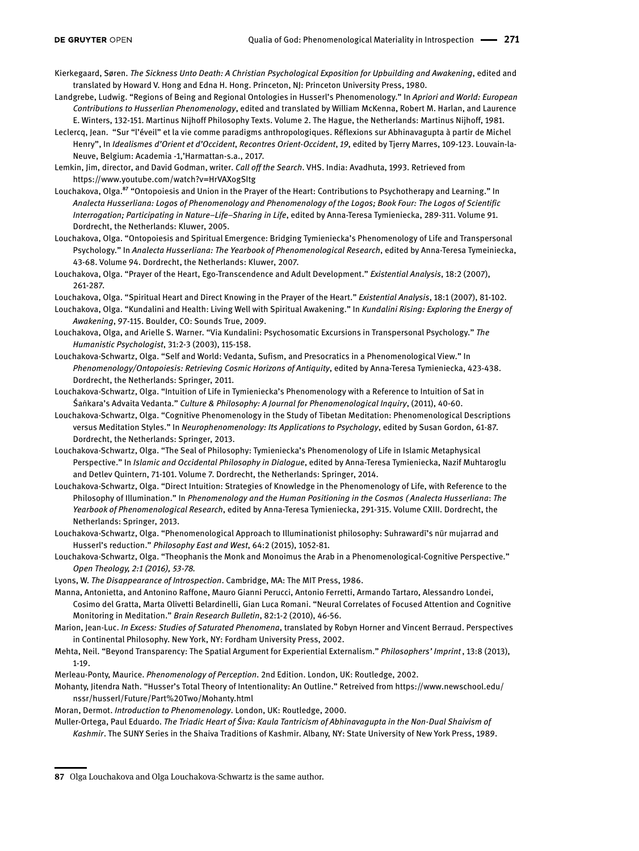- Kierkegaard, Søren. *The Sickness Unto Death: A Christian Psychological Exposition for Upbuilding and Awakening*, edited and translated by Howard V. Hong and Edna H. Hong. Princeton, NJ: Princeton University Press, 1980.
- Landgrebe, Ludwig. "Regions of Being and Regional Ontologies in Husserl's Phenomenology." In *Apriori and World: European Contributions to Husserlian Phenomenology*, edited and translated by William McKenna, Robert M. Harlan, and Laurence E. Winters, 132-151. Martinus Nijhoff Philosophy Texts. Volume 2. The Hague, the Netherlands: Martinus Nijhoff, 1981.
- Leclercq, Jean. "Sur "l'éveil" et la vie comme paradigms anthropologiques. Réflexions sur Abhinavagupta à partir de Michel Henry", In *Idealismes d'Orient et d'Occident*, *Recontres Orient-Occident*, *19*, edited by Tjerry Marres, 109-123. Louvain-la-Neuve, Belgium: Academia -1,'Harmattan-s.a., 2017.
- Lemkin, Jim, director, and David Godman, writer. *Call off the Search*. VHS. India: Avadhuta, 1993. Retrieved from https://www.youtube.com/watch?v=HrVAXogSItg
- Louchakova, Olga.87 "Ontopoiesis and Union in the Prayer of the Heart: Contributions to Psychotherapy and Learning." In *Analecta Husserliana: Logos of Phenomenology and Phenomenology of the Logos; Book Four: The Logos of Scientific Interrogation; Participating in Nature–Life–Sharing in Life*, edited by Anna-Teresa Tymieniecka, 289-311. Volume 91. Dordrecht, the Netherlands: Kluwer, 2005.
- Louchakova, Olga. "Ontopoiesis and Spiritual Emergence: Bridging Tymieniecka's Phenomenology of Life and Transpersonal Psychology." In *Analecta Husserliana: The Yearbook of Phenomenological Research*, edited by Anna-Teresa Tymeiniecka, 43-68. Volume 94. Dordrecht, the Netherlands: Kluwer, 2007.
- Louchakova, Olga. "Prayer of the Heart, Ego-Transcendence and Adult Development." *Existential Analysis*, 18:2 (2007), 261-287.
- Louchakova, Olga. "Spiritual Heart and Direct Knowing in the Prayer of the Heart." *Existential Analysis*, 18:1 (2007), 81-102.
- Louchakova, Olga. "Kundalini and Health: Living Well with Spiritual Awakening." In *Kundalini Rising: Exploring the Energy of Awakening*, 97-115. Boulder, CO: Sounds True, 2009.
- Louchakova, Olga, and Arielle S. Warner. "Via Kundalini: Psychosomatic Excursions in Transpersonal Psychology." *The Humanistic Psychologist*, 31:2-3 (2003), 115-158.

Louchakova-Schwartz, Olga. "Self and World: Vedanta, Sufism, and Presocratics in a Phenomenological View." In *Phenomenology/Ontopoiesis: Retrieving Cosmic Horizons of Antiquity*, edited by Anna-Teresa Tymieniecka, 423-438. Dordrecht, the Netherlands: Springer, 2011.

- Louchakova-Schwartz, Olga. "Intuition of Life in Tymieniecka's Phenomenology with a Reference to Intuition of Sat in Śaṅkara's Advaita Vedanta." *Culture & Philosophy: A Journal for Phenomenological Inquiry*, (2011), 40-60.
- Louchakova-Schwartz, Olga. "Cognitive Phenomenology in the Study of Tibetan Meditation: Phenomenological Descriptions versus Meditation Styles." In *Neurophenomenology: Its Applications to Psychology*, edited by Susan Gordon, 61-87. Dordrecht, the Netherlands: Springer, 2013.
- Louchakova-Schwartz, Olga. "The Seal of Philosophy: Tymieniecka's Phenomenology of Life in Islamic Metaphysical Perspective." In *Islamic and Occidental Philosophy in Dialogue*, edited by Anna-Teresa Tymieniecka, Nazif Muhtaroglu and Detlev Quintern, 71-101. Volume 7. Dordrecht, the Netherlands: Springer, 2014.
- Louchakova-Schwartz, Olga. "Direct Intuition: Strategies of Knowledge in the Phenomenology of Life, with Reference to the Philosophy of Illumination." In *Phenomenology and the Human Positioning in the Cosmos ( Analecta Husserliana*: *The Yearbook of Phenomenological Research*, edited by Anna-Teresa Tymieniecka, 291-315. Volume CXIII. Dordrecht, the Netherlands: Springer, 2013.
- Louchakova-Schwartz, Olga. "Phenomenological Approach to Illuminationist philosophy: Suhrawardī's nūr mujarrad and Husserl's reduction." *Philosophy East and West*, 64:2 (2015), 1052-81.
- Louchakova-Schwartz, Olga. "Theophanis the Monk and Monoimus the Arab in a Phenomenological-Cognitive Perspective." *Open Theology, 2:1 (2016), 53-78.*

Lyons, W. *The Disappearance of Introspection*. Cambridge, MA: The MIT Press, 1986.

Manna, Antonietta, and Antonino Raffone, Mauro Gianni Perucci, Antonio Ferretti, Armando Tartaro, Alessandro Londei, Cosimo del Gratta, Marta Olivetti Belardinelli, Gian Luca Romani. "Neural Correlates of Focused Attention and Cognitive Monitoring in Meditation." *Brain Research Bulletin*, 82:1-2 (2010), 46-56.

- Marion, Jean-Luc. *In Excess: Studies of Saturated Phenomena*, translated by Robyn Horner and Vincent Berraud. Perspectives in Continental Philosophy. New York, NY: Fordham University Press, 2002.
- Mehta, Neil. "Beyond Transparency: The Spatial Argument for Experiential Externalism." *Philosophers' Imprint*, 13:8 (2013), 1-19.
- Merleau-Ponty, Maurice. *Phenomenology of Perception*. 2nd Edition. London, UK: Routledge, 2002.

Mohanty, Jitendra Nath. "Husser's Total Theory of Intentionality: An Outline." Retreived from https://www.newschool.edu/ nssr/husserl/Future/Part%20Two/Mohanty.html

Moran, Dermot. *Introduction to Phenomenology*. London, UK: Routledge, 2000.

Muller-Ortega, Paul Eduardo. *The Triadic Heart of Śiva: Kaula Tantricism of Abhinavagupta in the Non-Dual Shaivism of Kashmir*. The SUNY Series in the Shaiva Traditions of Kashmir. Albany, NY: State University of New York Press, 1989.

**<sup>87</sup>** Olga Louchakova and Olga Louchakova-Schwartz is the same author.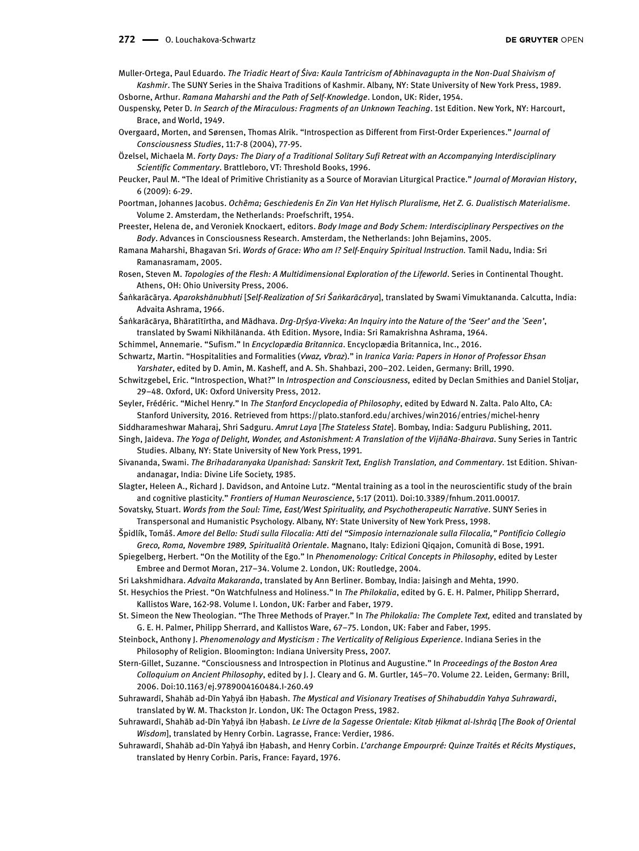Muller-Ortega, Paul Eduardo. *The Triadic Heart of Śiva: Kaula Tantricism of Abhinavagupta in the Non-Dual Shaivism of Kashmir*. The SUNY Series in the Shaiva Traditions of Kashmir. Albany, NY: State University of New York Press, 1989. Osborne, Arthur. *Ramana Maharshi and the Path of Self-Knowledge*. London, UK: Rider, 1954.

- Ouspensky, Peter D. *In Search of the Miraculous: Fragments of an Unknown Teaching*. 1st Edition. New York, NY: Harcourt, Brace, and World, 1949.
- Overgaard, Morten, and Sørensen, Thomas Alrik. "Introspection as Different from First-Order Experiences." *Journal of Consciousness Studies*, 11:7-8 (2004), 77-95.

Özelsel, Michaela M. *Forty Days: The Diary of a Traditional Solitary Sufi Retreat with an Accompanying Interdisciplinary Scientific Commentary*. Brattleboro, VT: Threshold Books, 1996.

- Peucker, Paul M. "The Ideal of Primitive Christianity as a Source of Moravian Liturgical Practice." *Journal of Moravian History*, 6 (2009): 6-29.
- Poortman, Johannes Jacobus. *Ochêma; Geschiedenis En Zin Van Het Hylisch Pluralisme, Het Z. G. Dualistisch Materialisme*. Volume 2. Amsterdam, the Netherlands: Proefschrift, 1954.
- Preester, Helena de, and Veroniek Knockaert, editors. *Body Image and Body Schem: Interdisciplinary Perspectives on the Body*. Advances in Consciousness Research. Amsterdam, the Netherlands: John Bejamins, 2005.
- Ramana Maharshi, Bhagavan Sri. *Words of Grace: Who am I? Self-Enquiry Spiritual Instruction.* Tamil Nadu, India: Sri Ramanasramam, 2005.
- Rosen, Steven M. *Topologies of the Flesh: A Multidimensional Exploration of the Lifeworld*. Series in Continental Thought. Athens, OH: Ohio University Press, 2006.
- Śaṅkarācārya. *Aparokshānubhuti* [*Self-Realization of Sri Śaṅkarācārya*], translated by Swami Vimuktananda. Calcutta, India: Advaita Ashrama, 1966.
- Śaṅkarācārya, Bhāratītīrtha, and Mādhava. *Drg̣-Dṛśya-Viveka: An Inquiry into the Nature of the 'Seer' and the ʻSeen'*, translated by Swami Nikhilānanda. 4th Edition. Mysore, India: Sri Ramakrishna Ashrama, 1964.
- Schimmel, Annemarie. "Sufism." In *Encyclopædia Britannica*. Encyclopædia Britannica, Inc., 2016.
- Schwartz, Martin. "Hospitalities and Formalities (*√waz, √braz*)." in *Iranica Varia: Papers in Honor of Professor Ehsan Yarshater*, edited by D. Amin, M. Kasheff, and A. Sh. Shahbazi, 200–202. Leiden, Germany: Brill, 1990.
- Schwitzgebel, Eric. "Introspection, What?" In *Introspection and Consciousness,* edited by Declan Smithies and Daniel Stoljar, 29–48. Oxford, UK: Oxford University Press, 2012.
- Seyler, Frédéric. "Michel Henry." In *The Stanford Encyclopedia of Philosophy*, edited by Edward N. Zalta. Palo Alto, CA: Stanford University, 2016. Retrieved from https://plato.stanford.edu/archives/win2016/entries/michel-henry
- Siddharameshwar Maharaj, Shri Sadguru. *Amrut Laya* [*The Stateless State*]. Bombay, India: Sadguru Publishing, 2011.
- Singh, Jaideva. *The Yoga of Delight, Wonder, and Astonishment: A Translation of the VijñāNa-Bhairava*. Suny Series in Tantric Studies. Albany, NY: State University of New York Press, 1991.
- Sivananda, Swami. *The Brihadaranyaka Upanishad: Sanskrit Text, English Translation, and Commentary*. 1st Edition. Shivanandanagar, India: Divine Life Society, 1985.
- Slagter, Heleen A., Richard J. Davidson, and Antoine Lutz. "Mental training as a tool in the neuroscientific study of the brain and cognitive plasticity." *Frontiers of Human Neuroscience*, 5:17 (2011). Doi:10.3389/fnhum.2011.00017.
- Sovatsky, Stuart. *Words from the Soul: Time, East/West Spirituality, and Psychotherapeutic Narrative*. SUNY Series in Transpersonal and Humanistic Psychology. Albany, NY: State University of New York Press, 1998.
- Špidlík, Tomáš. *Amore del Bello: Studi sulla Filocalia: Atti del "Simposio internazionale sulla Filocalia," Pontificio Collegio Greco, Roma, Novembre 1989, Spiritualità Orientale*. Magnano, Italy: Edizioni Qiqajon, Comunità di Bose, 1991.
- Spiegelberg, Herbert. "On the Motility of the Ego." In *Phenomenology: Critical Concepts in Philosophy*, edited by Lester Embree and Dermot Moran, 217–34. Volume 2. London, UK: Routledge, 2004.
- Sri Lakshmidhara. *Advaita Makaranda*, translated by Ann Berliner. Bombay, India: Jaisingh and Mehta, 1990.
- St. Hesychios the Priest. "On Watchfulness and Holiness." In *The Philokalia*, edited by G. E. H. Palmer, Philipp Sherrard, Kallistos Ware, 162-98. Volume I. London, UK: Farber and Faber, 1979.
- St. Simeon the New Theologian. "The Three Methods of Prayer." In *The Philokalia: The Complete Text,* edited and translated by G. E. H. Palmer, Philipp Sherrard, and Kallistos Ware, 67–75. London, UK: Faber and Faber, 1995.
- Steinbock, Anthony J. *Phenomenology and Mysticism : The Verticality of Religious Experience*. Indiana Series in the Philosophy of Religion. Bloomington: Indiana University Press, 2007.
- Stern-Gillet, Suzanne. "Consciousness and Introspection in Plotinus and Augustine." In *Proceedings of the Boston Area Colloquium on Ancient Philosophy*, edited by J. J. Cleary and G. M. Gurtler, 145–70. Volume 22. Leiden, Germany: Brill, 2006. Doi:10.1163/ej.9789004160484.I-260.49
- Suhrawardī, Shahāb ad-Dīn Yaḥyá ibn Ḥabash. *The Mystical and Visionary Treatises of Shihabuddin Yahya Suhrawardi*, translated by W. M. Thackston Jr. London, UK: The Octagon Press, 1982.
- Suhrawardī, Shahāb ad-Dīn Yaḥyá ibn Ḥabash. *Le Livre de la Sagesse Orientale: Kitab Ḥikmat al-Ishrāq* [*The Book of Oriental Wisdom*], translated by Henry Corbin. Lagrasse, France: Verdier, 1986.
- Suhrawardī, Shahāb ad-Dīn Yaḥyá ibn Ḥabash, and Henry Corbin. *L'archange Empourpré: Quinze Traités et Récits Mystiques*, translated by Henry Corbin. Paris, France: Fayard, 1976.